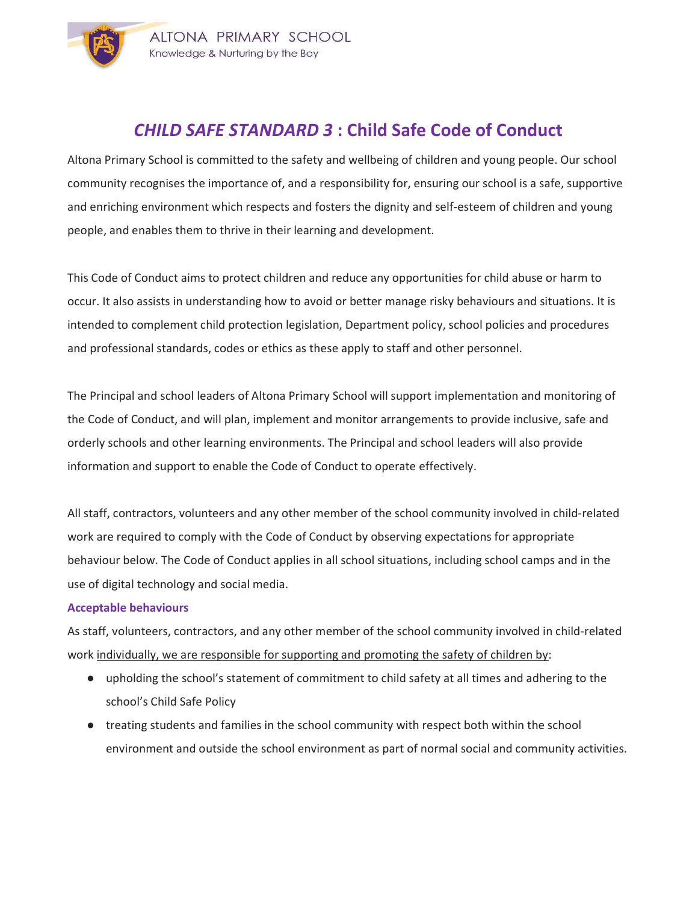

## CHILD SAFE STANDARD 3 : Child Safe Code of Conduct

Altona Primary School is committed to the safety and wellbeing of children and young people. Our school community recognises the importance of, and a responsibility for, ensuring our school is a safe, supportive and enriching environment which respects and fosters the dignity and self-esteem of children and young people, and enables them to thrive in their learning and development.

This Code of Conduct aims to protect children and reduce any opportunities for child abuse or harm to occur. It also assists in understanding how to avoid or better manage risky behaviours and situations. It is intended to complement child protection legislation, Department policy, school policies and procedures and professional standards, codes or ethics as these apply to staff and other personnel.

The Principal and school leaders of Altona Primary School will support implementation and monitoring of the Code of Conduct, and will plan, implement and monitor arrangements to provide inclusive, safe and orderly schools and other learning environments. The Principal and school leaders will also provide information and support to enable the Code of Conduct to operate effectively.

All staff, contractors, volunteers and any other member of the school community involved in child-related work are required to comply with the Code of Conduct by observing expectations for appropriate behaviour below. The Code of Conduct applies in all school situations, including school camps and in the use of digital technology and social media.

### Acceptable behaviours

As staff, volunteers, contractors, and any other member of the school community involved in child-related work individually, we are responsible for supporting and promoting the safety of children by:

- upholding the school's statement of commitment to child safety at all times and adhering to the school's Child Safe Policy
- treating students and families in the school community with respect both within the school environment and outside the school environment as part of normal social and community activities.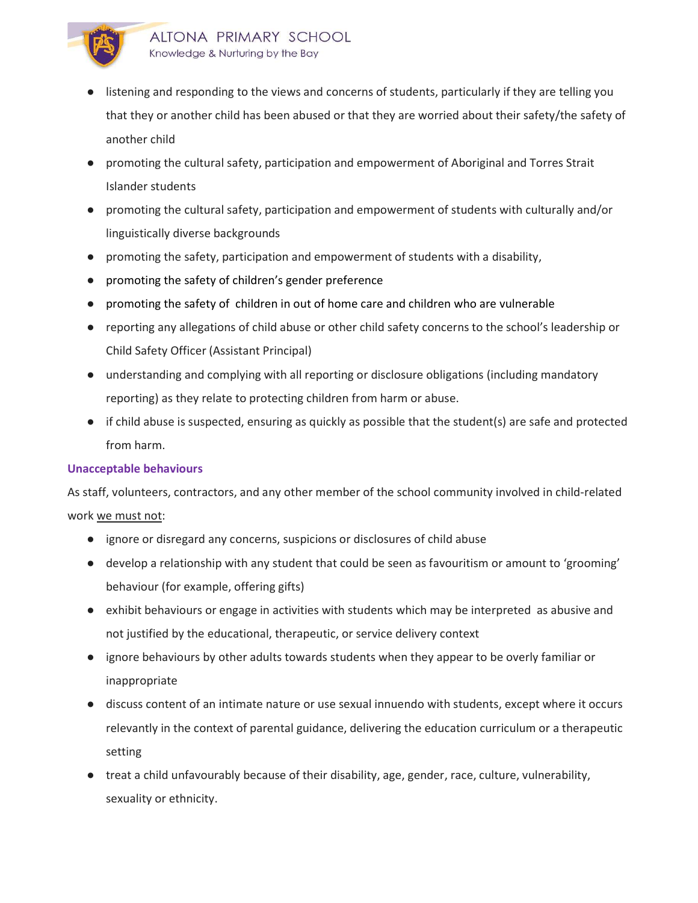

- listening and responding to the views and concerns of students, particularly if they are telling you that they or another child has been abused or that they are worried about their safety/the safety of another child
- promoting the cultural safety, participation and empowerment of Aboriginal and Torres Strait Islander students
- promoting the cultural safety, participation and empowerment of students with culturally and/or linguistically diverse backgrounds
- promoting the safety, participation and empowerment of students with a disability,
- promoting the safety of children's gender preference
- promoting the safety of children in out of home care and children who are vulnerable
- reporting any allegations of child abuse or other child safety concerns to the school's leadership or Child Safety Officer (Assistant Principal)
- understanding and complying with all reporting or disclosure obligations (including mandatory reporting) as they relate to protecting children from harm or abuse.
- if child abuse is suspected, ensuring as quickly as possible that the student(s) are safe and protected from harm.

### Unacceptable behaviours

As staff, volunteers, contractors, and any other member of the school community involved in child-related work we must not:

- ignore or disregard any concerns, suspicions or disclosures of child abuse
- develop a relationship with any student that could be seen as favouritism or amount to 'grooming' behaviour (for example, offering gifts)
- exhibit behaviours or engage in activities with students which may be interpreted as abusive and not justified by the educational, therapeutic, or service delivery context
- ignore behaviours by other adults towards students when they appear to be overly familiar or inappropriate
- discuss content of an intimate nature or use sexual innuendo with students, except where it occurs relevantly in the context of parental guidance, delivering the education curriculum or a therapeutic setting
- treat a child unfavourably because of their disability, age, gender, race, culture, vulnerability, sexuality or ethnicity.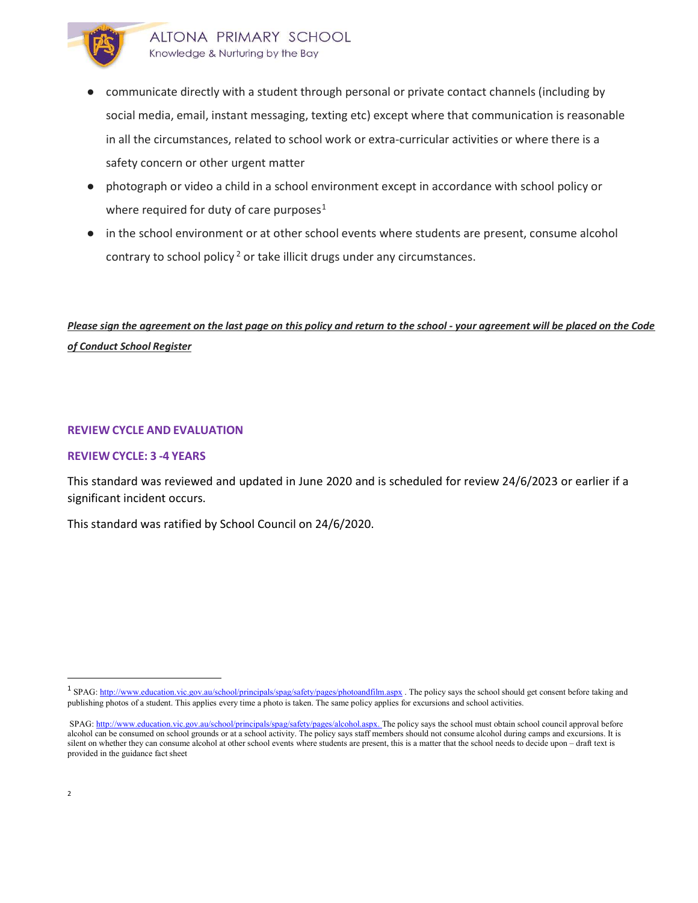

- communicate directly with a student through personal or private contact channels (including by social media, email, instant messaging, texting etc) except where that communication is reasonable in all the circumstances, related to school work or extra-curricular activities or where there is a safety concern or other urgent matter
- photograph or video a child in a school environment except in accordance with school policy or where required for duty of care purposes<sup>1</sup>
- in the school environment or at other school events where students are present, consume alcohol contrary to school policy<sup>2</sup> or take illicit drugs under any circumstances.

### Please sign the agreement on the last page on this policy and return to the school - your agreement will be placed on the Code of Conduct School Register

### REVIEW CYCLE AND EVALUATION

### REVIEW CYCLE: 3 -4 YEARS

This standard was reviewed and updated in June 2020 and is scheduled for review 24/6/2023 or earlier if a significant incident occurs.

This standard was ratified by School Council on 24/6/2020.

-

<sup>&</sup>lt;sup>1</sup> SPAG: http://www.education.vic.gov.au/school/principals/spag/safety/pages/photoandfilm.aspx . The policy says the school should get consent before taking and publishing photos of a student. This applies every time a photo is taken. The same policy applies for excursions and school activities.

SPAG: http://www.education.vic.gov.au/school/principals/spag/safety/pages/alcohol.aspx. The policy says the school must obtain school council approval before alcohol can be consumed on school grounds or at a school activity. The policy says staff members should not consume alcohol during camps and excursions. It is silent on whether they can consume alcohol at other school events where students are present, this is a matter that the school needs to decide upon – draft text is provided in the guidance fact sheet